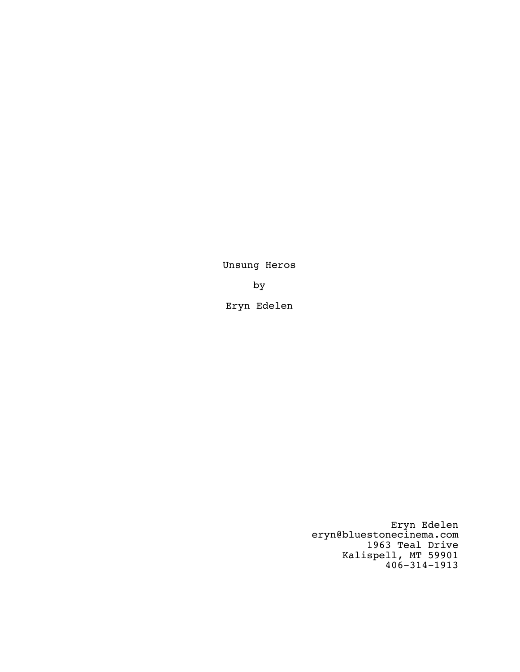Unsung Heros

by

Eryn Edelen

Eryn Edelen [eryn@bluestonecinema.com](mailto:eryn@bluestonecinema.com) 1963 Teal Drive Kalispell, MT 59901 406-314-1913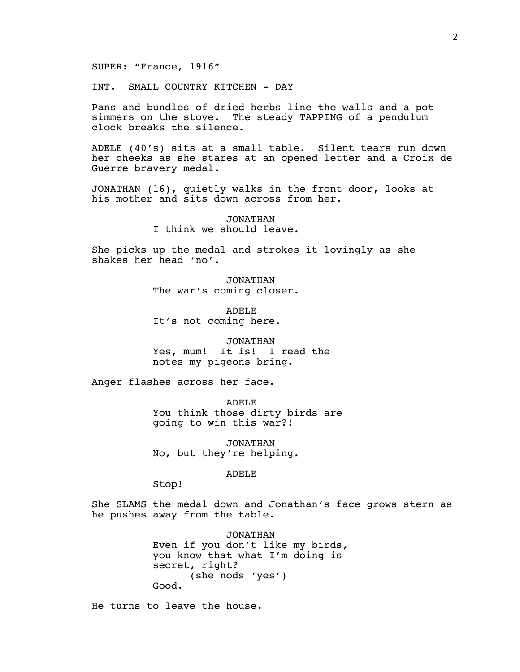SUPER: "France, 1916"

INT. SMALL COUNTRY KITCHEN - DAY

Pans and bundles of dried herbs line the walls and a pot simmers on the stove. The steady TAPPING of a pendulum clock breaks the silence.

ADELE (40's) sits at a small table. Silent tears run down her cheeks as she stares at an opened letter and a Croix de Guerre bravery medal.

JONATHAN (16), quietly walks in the front door, looks at his mother and sits down across from her.

> JONATHAN I think we should leave.

She picks up the medal and strokes it lovingly as she shakes her head 'no'.

> JONATHAN The war's coming closer.

 
ADELE It's not coming here.

JONATHAN<br>Yes. mum! It is! I It is! I read the notes my pigeons bring.

Anger flashes across her face.

 
ADELE You think those dirty birds are going to win this war?!

 
JONATHAN No, but they're helping.

#### ADELE

Stop!

She SLAMS the medal down and Jonathan's face grows stern as he pushes away from the table.

> JONATHAN Even if you don't like my birds, you know that what I'm doing is secret, right? (she nods 'yes') Good.

He turns to leave the house.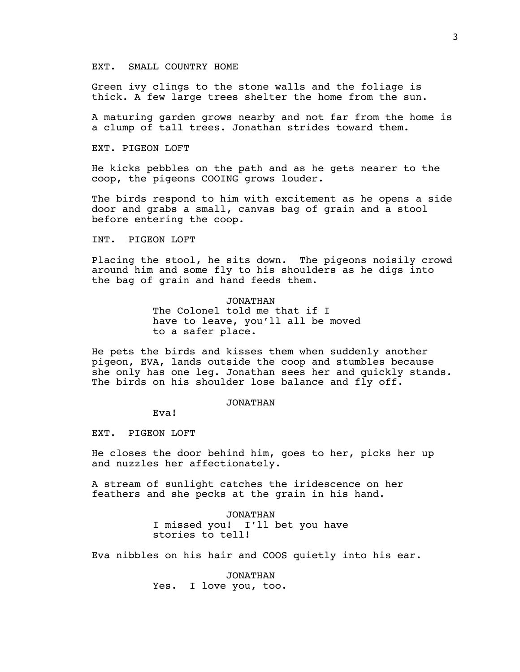# EXT. SMALL COUNTRY HOME

Green ivy clings to the stone walls and the foliage is thick. A few large trees shelter the home from the sun.

A maturing garden grows nearby and not far from the home is a clump of tall trees. Jonathan strides toward them.

#### EXT. PIGEON LOFT

He kicks pebbles on the path and as he gets nearer to the coop, the pigeons COOING grows louder.

The birds respond to him with excitement as he opens a side door and grabs a small, canvas bag of grain and a stool before entering the coop.

INT. PIGEON LOFT

Placing the stool, he sits down. The pigeons noisily crowd around him and some fly to his shoulders as he digs into the bag of grain and hand feeds them.

> JONATHAN The Colonel told me that if I have to leave, you'll all be moved to a safer place.

He pets the birds and kisses them when suddenly another pigeon, EVA, lands outside the coop and stumbles because she only has one leg. Jonathan sees her and quickly stands. The birds on his shoulder lose balance and fly off.

#### JONATHAN

Eva!

EXT. PIGEON LOFT

He closes the door behind him, goes to her, picks her up and nuzzles her affectionately.

A stream of sunlight catches the iridescence on her feathers and she pecks at the grain in his hand.

> JONATHAN I missed you! I'll bet you have stories to tell!

Eva nibbles on his hair and COOS quietly into his ear.

 
JONATHAN Yes. I love you, too.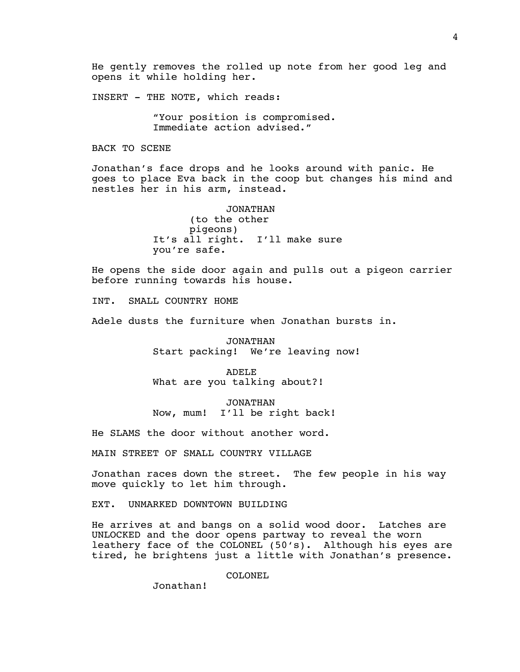He gently removes the rolled up note from her good leg and opens it while holding her.

INSERT - THE NOTE, which reads:

"Your position is compromised. Immediate action advised."

BACK TO SCENE

Jonathan's face drops and he looks around with panic. He goes to place Eva back in the coop but changes his mind and nestles her in his arm, instead.

> JONATHAN (to the other pigeons) It's all right. I'll make sure you're safe.

He opens the side door again and pulls out a pigeon carrier before running towards his house.

INT. SMALL COUNTRY HOME

Adele dusts the furniture when Jonathan bursts in.

 
JONATHAN Start packing! We're leaving now!

 
ADELE What are you talking about?!

JONATHAN<br>Now, mum! I'll be r I'll be right back!

He SLAMS the door without another word.

MAIN STREET OF SMALL COUNTRY VILLAGE

Jonathan races down the street. The few people in his way move quickly to let him through.

EXT. UNMARKED DOWNTOWN BUILDING

He arrives at and bangs on a solid wood door. Latches are UNLOCKED and the door opens partway to reveal the worn leathery face of the COLONEL (50's). Although his eyes are tired, he brightens just a little with Jonathan's presence.

COLONEL

Jonathan!